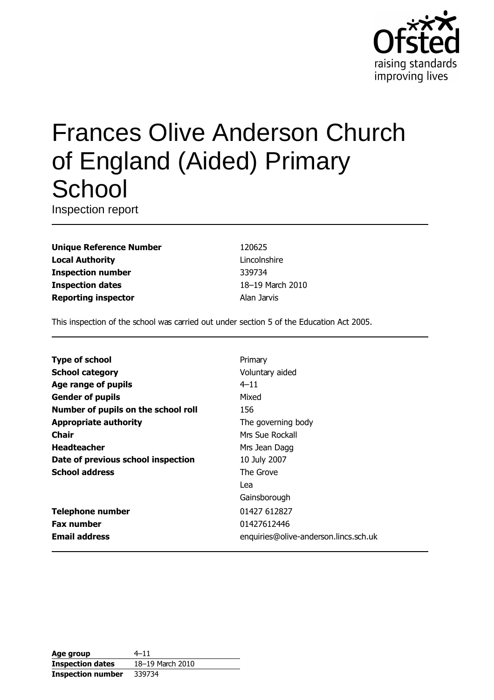

# **Frances Olive Anderson Church** of England (Aided) Primary School

Inspection report

**Unique Reference Number Local Authority Inspection number Inspection dates Reporting inspector** 

120625 Lincolnshire 339734 18-19 March 2010 Alan Jarvis

This inspection of the school was carried out under section 5 of the Education Act 2005.

| <b>Type of school</b>               | Primary                               |
|-------------------------------------|---------------------------------------|
| <b>School category</b>              | Voluntary aided                       |
| Age range of pupils                 | $4 - 11$                              |
| <b>Gender of pupils</b>             | Mixed                                 |
| Number of pupils on the school roll | 156                                   |
| <b>Appropriate authority</b>        | The governing body                    |
| Chair                               | Mrs Sue Rockall                       |
| <b>Headteacher</b>                  | Mrs Jean Dagg                         |
| Date of previous school inspection  | 10 July 2007                          |
| <b>School address</b>               | The Grove                             |
|                                     | Lea                                   |
|                                     | Gainsborough                          |
| <b>Telephone number</b>             | 01427 612827                          |
| <b>Fax number</b>                   | 01427612446                           |
| <b>Email address</b>                | enquiries@olive-anderson.lincs.sch.uk |
|                                     |                                       |

| Age group                | $4 - 11$         |
|--------------------------|------------------|
| <b>Inspection dates</b>  | 18-19 March 2010 |
| <b>Inspection number</b> | 339734           |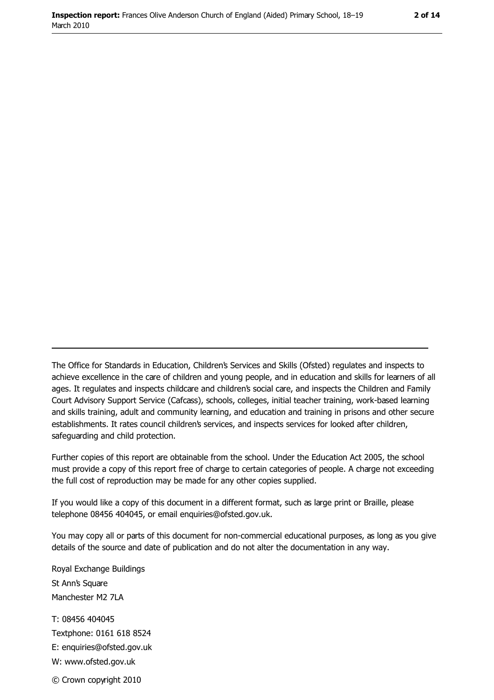The Office for Standards in Education, Children's Services and Skills (Ofsted) regulates and inspects to achieve excellence in the care of children and young people, and in education and skills for learners of all ages. It regulates and inspects childcare and children's social care, and inspects the Children and Family Court Advisory Support Service (Cafcass), schools, colleges, initial teacher training, work-based learning and skills training, adult and community learning, and education and training in prisons and other secure establishments. It rates council children's services, and inspects services for looked after children, safequarding and child protection.

Further copies of this report are obtainable from the school. Under the Education Act 2005, the school must provide a copy of this report free of charge to certain categories of people. A charge not exceeding the full cost of reproduction may be made for any other copies supplied.

If you would like a copy of this document in a different format, such as large print or Braille, please telephone 08456 404045, or email enquiries@ofsted.gov.uk.

You may copy all or parts of this document for non-commercial educational purposes, as long as you give details of the source and date of publication and do not alter the documentation in any way.

Royal Exchange Buildings St Ann's Square Manchester M2 7LA T: 08456 404045 Textphone: 0161 618 8524 E: enquiries@ofsted.gov.uk W: www.ofsted.gov.uk © Crown copyright 2010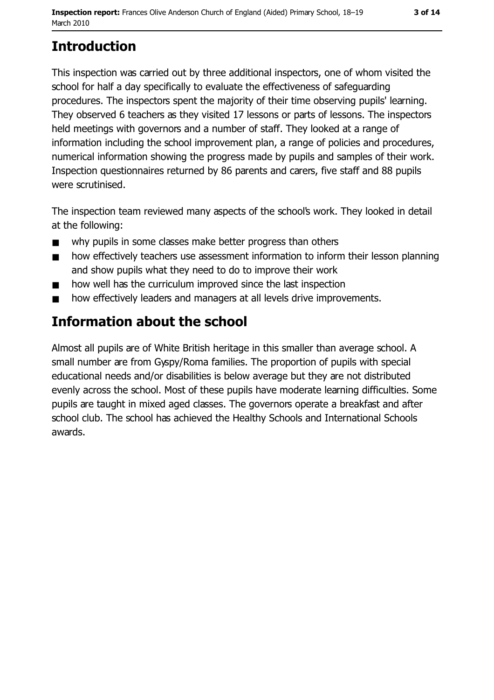# **Introduction**

This inspection was carried out by three additional inspectors, one of whom visited the school for half a day specifically to evaluate the effectiveness of safeguarding procedures. The inspectors spent the majority of their time observing pupils' learning. They observed 6 teachers as they visited 17 lessons or parts of lessons. The inspectors held meetings with governors and a number of staff. They looked at a range of information including the school improvement plan, a range of policies and procedures, numerical information showing the progress made by pupils and samples of their work. Inspection questionnaires returned by 86 parents and carers, five staff and 88 pupils were scrutinised.

The inspection team reviewed many aspects of the school's work. They looked in detail at the following:

- why pupils in some classes make better progress than others  $\blacksquare$
- how effectively teachers use assessment information to inform their lesson planning  $\blacksquare$ and show pupils what they need to do to improve their work
- how well has the curriculum improved since the last inspection  $\blacksquare$
- how effectively leaders and managers at all levels drive improvements.  $\blacksquare$

# **Information about the school**

Almost all pupils are of White British heritage in this smaller than average school. A small number are from Gyspy/Roma families. The proportion of pupils with special educational needs and/or disabilities is below average but they are not distributed evenly across the school. Most of these pupils have moderate learning difficulties. Some pupils are taught in mixed aged classes. The governors operate a breakfast and after school club. The school has achieved the Healthy Schools and International Schools awards.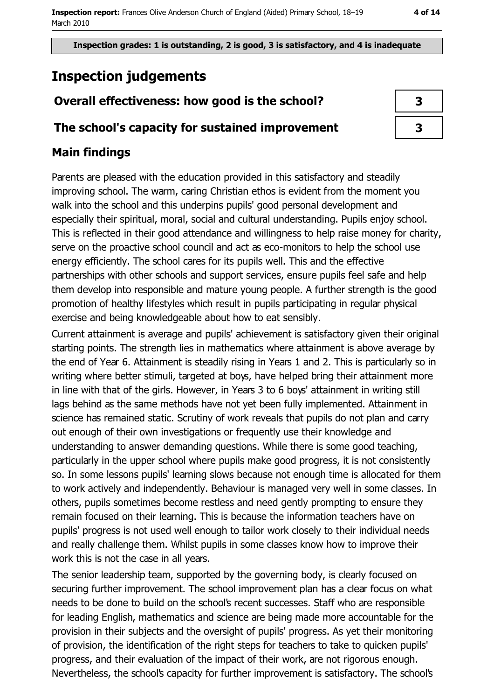Inspection grades: 1 is outstanding, 2 is good, 3 is satisfactory, and 4 is inadequate

# **Inspection judgements**

# Overall effectiveness: how good is the school?

## The school's capacity for sustained improvement

# **Main findings**

Parents are pleased with the education provided in this satisfactory and steadily improving school. The warm, caring Christian ethos is evident from the moment you walk into the school and this underpins pupils' good personal development and especially their spiritual, moral, social and cultural understanding. Pupils enjoy school. This is reflected in their good attendance and willingness to help raise money for charity, serve on the proactive school council and act as eco-monitors to help the school use energy efficiently. The school cares for its pupils well. This and the effective partnerships with other schools and support services, ensure pupils feel safe and help them develop into responsible and mature young people. A further strength is the good promotion of healthy lifestyles which result in pupils participating in regular physical exercise and being knowledgeable about how to eat sensibly.

Current attainment is average and pupils' achievement is satisfactory given their original starting points. The strength lies in mathematics where attainment is above average by the end of Year 6. Attainment is steadily rising in Years 1 and 2. This is particularly so in writing where better stimuli, targeted at boys, have helped bring their attainment more in line with that of the girls. However, in Years 3 to 6 boys' attainment in writing still lags behind as the same methods have not yet been fully implemented. Attainment in science has remained static. Scrutiny of work reveals that pupils do not plan and carry out enough of their own investigations or frequently use their knowledge and understanding to answer demanding questions. While there is some good teaching, particularly in the upper school where pupils make good progress, it is not consistently so. In some lessons pupils' learning slows because not enough time is allocated for them to work actively and independently. Behaviour is managed very well in some classes. In others, pupils sometimes become restless and need gently prompting to ensure they remain focused on their learning. This is because the information teachers have on pupils' progress is not used well enough to tailor work closely to their individual needs and really challenge them. Whilst pupils in some classes know how to improve their work this is not the case in all years.

The senior leadership team, supported by the governing body, is clearly focused on securing further improvement. The school improvement plan has a clear focus on what needs to be done to build on the school's recent successes. Staff who are responsible for leading English, mathematics and science are being made more accountable for the provision in their subjects and the oversight of pupils' progress. As yet their monitoring of provision, the identification of the right steps for teachers to take to guicken pupils' progress, and their evaluation of the impact of their work, are not rigorous enough. Nevertheless, the school's capacity for further improvement is satisfactory. The school's

| 3 |
|---|
| 3 |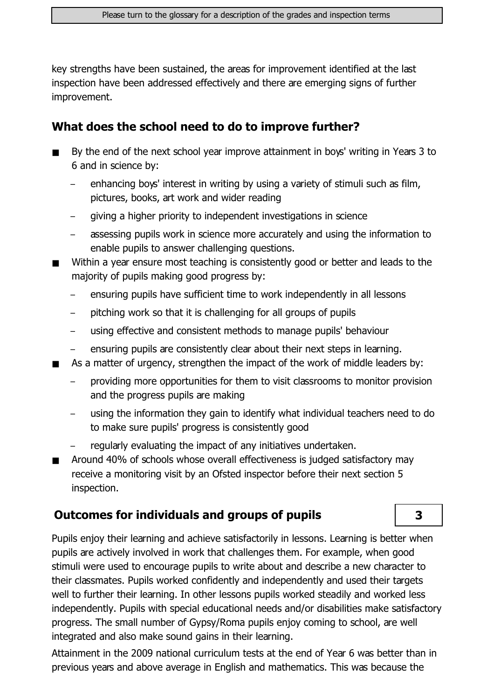key strengths have been sustained, the areas for improvement identified at the last inspection have been addressed effectively and there are emerging signs of further improvement.

# What does the school need to do to improve further?

- By the end of the next school year improve attainment in boys' writing in Years 3 to 6 and in science by:
	- enhancing boys' interest in writing by using a variety of stimuli such as film, pictures, books, art work and wider reading
	- giving a higher priority to independent investigations in science
	- assessing pupils work in science more accurately and using the information to enable pupils to answer challenging questions.
- Within a year ensure most teaching is consistently good or better and leads to the majority of pupils making good progress by:
	- ensuring pupils have sufficient time to work independently in all lessons
	- pitching work so that it is challenging for all groups of pupils  $\equiv$
	- using effective and consistent methods to manage pupils' behaviour  $\equiv$
	- ensuring pupils are consistently clear about their next steps in learning.
- As a matter of urgency, strengthen the impact of the work of middle leaders by:
	- providing more opportunities for them to visit classrooms to monitor provision and the progress pupils are making
	- using the information they gain to identify what individual teachers need to do to make sure pupils' progress is consistently good
	- regularly evaluating the impact of any initiatives undertaken.
- Around 40% of schools whose overall effectiveness is judged satisfactory may  $\blacksquare$ receive a monitoring visit by an Ofsted inspector before their next section 5 inspection.

# **Outcomes for individuals and groups of pupils**

Pupils enjoy their learning and achieve satisfactorily in lessons. Learning is better when pupils are actively involved in work that challenges them. For example, when good stimuli were used to encourage pupils to write about and describe a new character to their classmates. Pupils worked confidently and independently and used their targets well to further their learning. In other lessons pupils worked steadily and worked less independently. Pupils with special educational needs and/or disabilities make satisfactory progress. The small number of Gypsy/Roma pupils enjoy coming to school, are well integrated and also make sound gains in their learning.

Attainment in the 2009 national curriculum tests at the end of Year 6 was better than in previous years and above average in English and mathematics. This was because the

3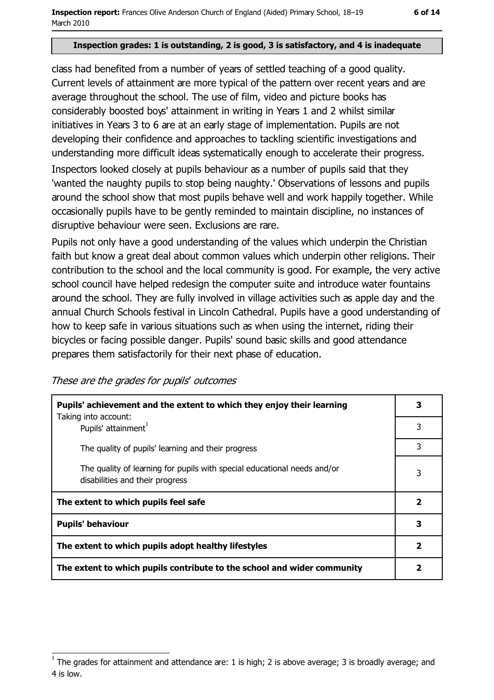#### Inspection grades: 1 is outstanding, 2 is good, 3 is satisfactory, and 4 is inadequate

class had benefited from a number of years of settled teaching of a good quality. Current levels of attainment are more typical of the pattern over recent years and are average throughout the school. The use of film, video and picture books has considerably boosted boys' attainment in writing in Years 1 and 2 whilst similar initiatives in Years 3 to 6 are at an early stage of implementation. Pupils are not developing their confidence and approaches to tackling scientific investigations and understanding more difficult ideas systematically enough to accelerate their progress.

Inspectors looked closely at pupils behaviour as a number of pupils said that they 'wanted the naughty pupils to stop being naughty.' Observations of lessons and pupils around the school show that most pupils behave well and work happily together. While occasionally pupils have to be gently reminded to maintain discipline, no instances of disruptive behaviour were seen. Exclusions are rare.

Pupils not only have a good understanding of the values which underpin the Christian faith but know a great deal about common values which underpin other religions. Their contribution to the school and the local community is good. For example, the very active school council have helped redesign the computer suite and introduce water fountains around the school. They are fully involved in village activities such as apple day and the annual Church Schools festival in Lincoln Cathedral. Pupils have a good understanding of how to keep safe in various situations such as when using the internet, riding their bicycles or facing possible danger. Pupils' sound basic skills and good attendance prepares them satisfactorily for their next phase of education.

These are the grades for pupils' outcomes

| Pupils' achievement and the extent to which they enjoy their learning                                       |              |
|-------------------------------------------------------------------------------------------------------------|--------------|
| Taking into account:<br>Pupils' attainment <sup>1</sup>                                                     | 3            |
| The quality of pupils' learning and their progress                                                          | 3            |
| The quality of learning for pupils with special educational needs and/or<br>disabilities and their progress |              |
| The extent to which pupils feel safe                                                                        | 2            |
| <b>Pupils' behaviour</b>                                                                                    | 3            |
| The extent to which pupils adopt healthy lifestyles                                                         | $\mathbf{2}$ |
| The extent to which pupils contribute to the school and wider community                                     |              |

The grades for attainment and attendance are: 1 is high; 2 is above average; 3 is broadly average; and 4 is low.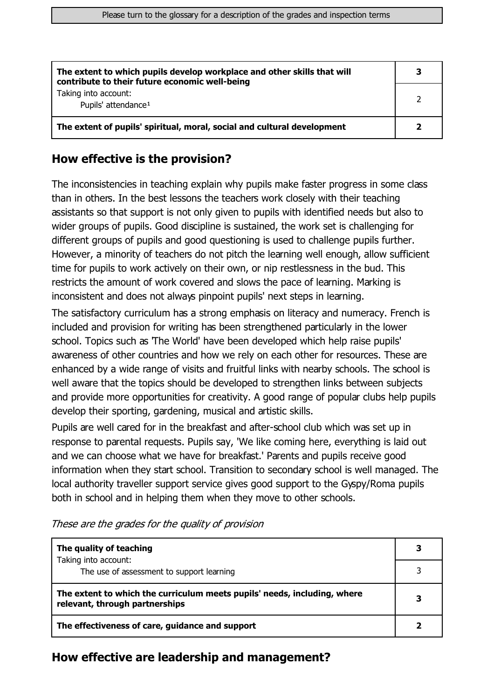| The extent to which pupils develop workplace and other skills that will<br>contribute to their future economic well-being |  |
|---------------------------------------------------------------------------------------------------------------------------|--|
| Taking into account:<br>Pupils' attendance <sup>1</sup>                                                                   |  |
| The extent of pupils' spiritual, moral, social and cultural development                                                   |  |

### How effective is the provision?

The inconsistencies in teaching explain why pupils make faster progress in some class than in others. In the best lessons the teachers work closely with their teaching assistants so that support is not only given to pupils with identified needs but also to wider groups of pupils. Good discipline is sustained, the work set is challenging for different groups of pupils and good questioning is used to challenge pupils further. However, a minority of teachers do not pitch the learning well enough, allow sufficient time for pupils to work actively on their own, or nip restlessness in the bud. This restricts the amount of work covered and slows the pace of learning. Marking is inconsistent and does not always pinpoint pupils' next steps in learning.

The satisfactory curriculum has a strong emphasis on literacy and numeracy. French is included and provision for writing has been strengthened particularly in the lower school. Topics such as The World' have been developed which help raise pupils' awareness of other countries and how we rely on each other for resources. These are enhanced by a wide range of visits and fruitful links with nearby schools. The school is well aware that the topics should be developed to strengthen links between subjects and provide more opportunities for creativity. A good range of popular clubs help pupils develop their sporting, gardening, musical and artistic skills.

Pupils are well cared for in the breakfast and after-school club which was set up in response to parental requests. Pupils say, 'We like coming here, everything is laid out and we can choose what we have for breakfast.' Parents and pupils receive good information when they start school. Transition to secondary school is well managed. The local authority traveller support service gives good support to the Gyspy/Roma pupils both in school and in helping them when they move to other schools.

| The quality of teaching                                                                                    |  |
|------------------------------------------------------------------------------------------------------------|--|
| Taking into account:<br>The use of assessment to support learning                                          |  |
| The extent to which the curriculum meets pupils' needs, including, where<br>relevant, through partnerships |  |
| The effectiveness of care, guidance and support                                                            |  |

These are the grades for the quality of provision

#### How effective are leadership and management?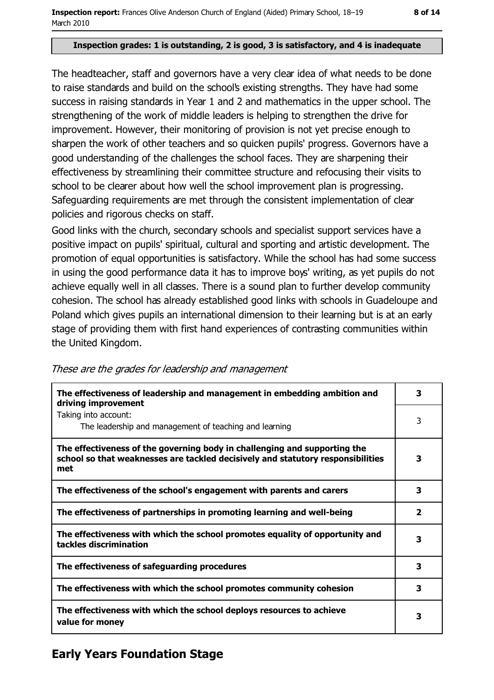#### Inspection grades: 1 is outstanding, 2 is good, 3 is satisfactory, and 4 is inadequate

The headteacher, staff and governors have a very clear idea of what needs to be done to raise standards and build on the school's existing strengths. They have had some success in raising standards in Year 1 and 2 and mathematics in the upper school. The strengthening of the work of middle leaders is helping to strengthen the drive for improvement. However, their monitoring of provision is not yet precise enough to sharpen the work of other teachers and so quicken pupils' progress. Governors have a good understanding of the challenges the school faces. They are sharpening their effectiveness by streamlining their committee structure and refocusing their visits to school to be clearer about how well the school improvement plan is progressing. Safeguarding requirements are met through the consistent implementation of clear policies and rigorous checks on staff.

Good links with the church, secondary schools and specialist support services have a positive impact on pupils' spiritual, cultural and sporting and artistic development. The promotion of equal opportunities is satisfactory. While the school has had some success in using the good performance data it has to improve boys' writing, as yet pupils do not achieve equally well in all classes. There is a sound plan to further develop community cohesion. The school has already established good links with schools in Guadeloupe and Poland which gives pupils an international dimension to their learning but is at an early stage of providing them with first hand experiences of contrasting communities within the United Kingdom.

| The effectiveness of leadership and management in embedding ambition and<br>driving improvement                                                                     | 3                       |
|---------------------------------------------------------------------------------------------------------------------------------------------------------------------|-------------------------|
| Taking into account:<br>The leadership and management of teaching and learning                                                                                      | 3                       |
| The effectiveness of the governing body in challenging and supporting the<br>school so that weaknesses are tackled decisively and statutory responsibilities<br>met | 3                       |
| The effectiveness of the school's engagement with parents and carers                                                                                                | 3                       |
| The effectiveness of partnerships in promoting learning and well-being                                                                                              | $\overline{\mathbf{2}}$ |
| The effectiveness with which the school promotes equality of opportunity and<br>tackles discrimination                                                              | з                       |
| The effectiveness of safeguarding procedures                                                                                                                        | 3                       |
| The effectiveness with which the school promotes community cohesion                                                                                                 | 3                       |
| The effectiveness with which the school deploys resources to achieve<br>value for money                                                                             | з                       |

These are the grades for leadership and management

# **Early Years Foundation Stage**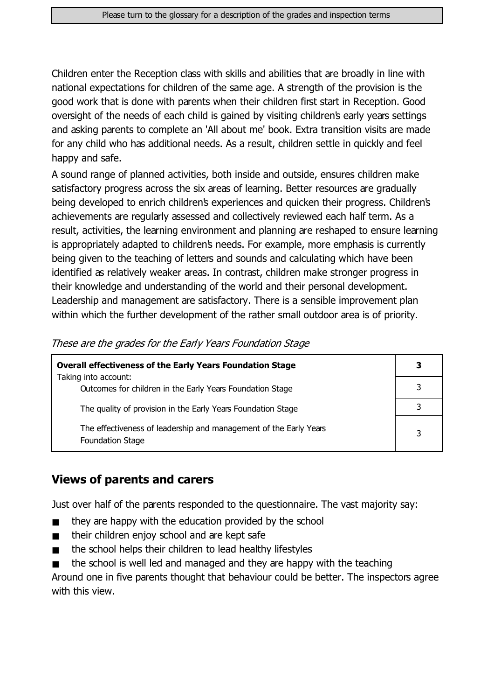Children enter the Reception class with skills and abilities that are broadly in line with national expectations for children of the same age. A strength of the provision is the good work that is done with parents when their children first start in Reception. Good oversight of the needs of each child is gained by visiting children's early years settings and asking parents to complete an 'All about me' book. Extra transition visits are made for any child who has additional needs. As a result, children settle in quickly and feel happy and safe.

A sound range of planned activities, both inside and outside, ensures children make satisfactory progress across the six areas of learning. Better resources are gradually being developed to enrich children's experiences and quicken their progress. Children's achievements are regularly assessed and collectively reviewed each half term. As a result, activities, the learning environment and planning are reshaped to ensure learning is appropriately adapted to children's needs. For example, more emphasis is currently being given to the teaching of letters and sounds and calculating which have been identified as relatively weaker areas. In contrast, children make stronger progress in their knowledge and understanding of the world and their personal development. Leadership and management are satisfactory. There is a sensible improvement plan within which the further development of the rather small outdoor area is of priority.

| <b>Overall effectiveness of the Early Years Foundation Stage</b>                             | 3 |
|----------------------------------------------------------------------------------------------|---|
| Taking into account:<br>Outcomes for children in the Early Years Foundation Stage            |   |
| The quality of provision in the Early Years Foundation Stage                                 |   |
| The effectiveness of leadership and management of the Early Years<br><b>Foundation Stage</b> | 3 |

These are the grades for the Early Years Foundation Stage

## **Views of parents and carers**

Just over half of the parents responded to the questionnaire. The vast majority say:

- they are happy with the education provided by the school  $\blacksquare$
- their children enjoy school and are kept safe  $\blacksquare$
- the school helps their children to lead healthy lifestyles  $\blacksquare$
- the school is well led and managed and they are happy with the teaching  $\blacksquare$

Around one in five parents thought that behaviour could be better. The inspectors agree with this view.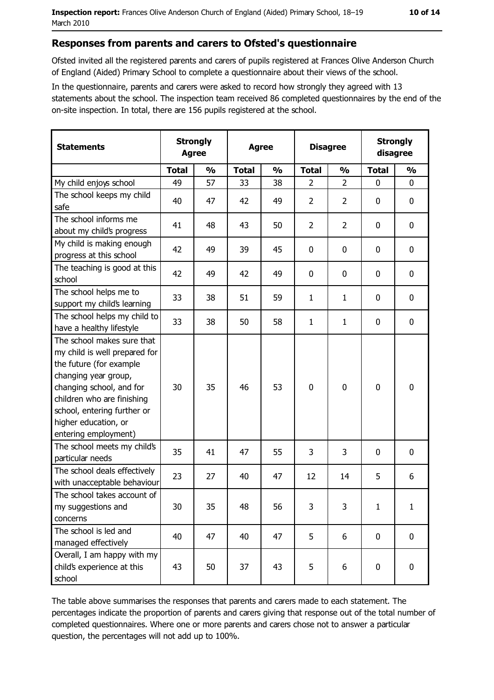#### Responses from parents and carers to Ofsted's questionnaire

Ofsted invited all the registered parents and carers of pupils registered at Frances Olive Anderson Church of England (Aided) Primary School to complete a questionnaire about their views of the school.

In the questionnaire, parents and carers were asked to record how strongly they agreed with 13 statements about the school. The inspection team received 86 completed questionnaires by the end of the on-site inspection. In total, there are 156 pupils registered at the school.

| <b>Statements</b>                                                                                                                                                                                                                                       | <b>Strongly</b><br><b>Agree</b> |               | <b>Agree</b> |               |                | <b>Disagree</b> |              | <b>Strongly</b><br>disagree |  |
|---------------------------------------------------------------------------------------------------------------------------------------------------------------------------------------------------------------------------------------------------------|---------------------------------|---------------|--------------|---------------|----------------|-----------------|--------------|-----------------------------|--|
|                                                                                                                                                                                                                                                         | <b>Total</b>                    | $\frac{1}{2}$ | <b>Total</b> | $\frac{0}{0}$ | <b>Total</b>   | $\frac{0}{0}$   | <b>Total</b> | $\frac{0}{0}$               |  |
| My child enjoys school                                                                                                                                                                                                                                  | 49                              | 57            | 33           | 38            | $\overline{2}$ | $\overline{2}$  | $\mathbf{0}$ | $\mathbf 0$                 |  |
| The school keeps my child<br>safe                                                                                                                                                                                                                       | 40                              | 47            | 42           | 49            | $\overline{2}$ | $\overline{2}$  | 0            | 0                           |  |
| The school informs me<br>about my child's progress                                                                                                                                                                                                      | 41                              | 48            | 43           | 50            | $\overline{2}$ | $\overline{2}$  | 0            | 0                           |  |
| My child is making enough<br>progress at this school                                                                                                                                                                                                    | 42                              | 49            | 39           | 45            | $\mathbf 0$    | 0               | 0            | 0                           |  |
| The teaching is good at this<br>school                                                                                                                                                                                                                  | 42                              | 49            | 42           | 49            | $\mathbf 0$    | 0               | 0            | $\mathbf 0$                 |  |
| The school helps me to<br>support my child's learning                                                                                                                                                                                                   | 33                              | 38            | 51           | 59            | 1              | $\mathbf{1}$    | 0            | $\mathbf 0$                 |  |
| The school helps my child to<br>have a healthy lifestyle                                                                                                                                                                                                | 33                              | 38            | 50           | 58            | $\mathbf{1}$   | 1               | 0            | $\mathbf 0$                 |  |
| The school makes sure that<br>my child is well prepared for<br>the future (for example<br>changing year group,<br>changing school, and for<br>children who are finishing<br>school, entering further or<br>higher education, or<br>entering employment) | 30                              | 35            | 46           | 53            | $\mathbf 0$    | 0               | 0            | $\mathbf 0$                 |  |
| The school meets my child's<br>particular needs                                                                                                                                                                                                         | 35                              | 41            | 47           | 55            | 3              | 3               | 0            | $\boldsymbol{0}$            |  |
| The school deals effectively<br>with unacceptable behaviour                                                                                                                                                                                             | 23                              | 27            | 40           | 47            | 12             | 14              | 5            | 6                           |  |
| The school takes account of<br>my suggestions and<br>concerns                                                                                                                                                                                           | 30                              | 35            | 48           | 56            | 3              | 3               | $\mathbf{1}$ | $\mathbf{1}$                |  |
| The school is led and<br>managed effectively                                                                                                                                                                                                            | 40                              | 47            | 40           | 47            | 5              | 6               | 0            | $\mathbf 0$                 |  |
| Overall, I am happy with my<br>child's experience at this<br>school                                                                                                                                                                                     | 43                              | 50            | 37           | 43            | 5              | 6               | 0            | 0                           |  |

The table above summarises the responses that parents and carers made to each statement. The percentages indicate the proportion of parents and carers giving that response out of the total number of completed questionnaires. Where one or more parents and carers chose not to answer a particular question, the percentages will not add up to 100%.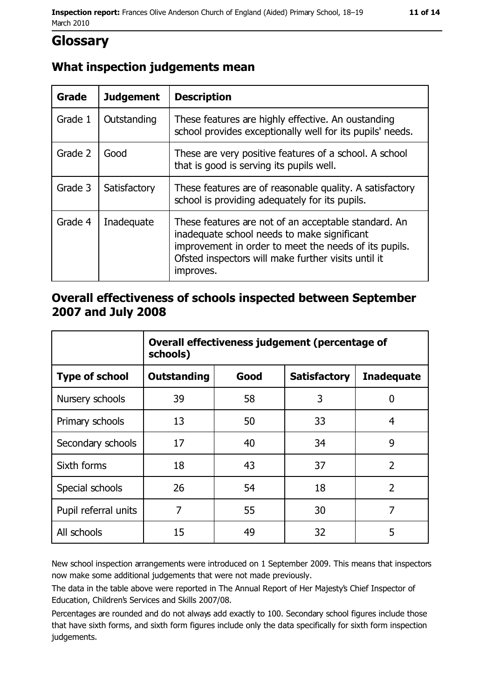# **Glossary**

# What inspection judgements mean

| Grade   | <b>Judgement</b> | <b>Description</b>                                                                                                                                                                                                               |
|---------|------------------|----------------------------------------------------------------------------------------------------------------------------------------------------------------------------------------------------------------------------------|
| Grade 1 | Outstanding      | These features are highly effective. An oustanding<br>school provides exceptionally well for its pupils' needs.                                                                                                                  |
| Grade 2 | Good             | These are very positive features of a school. A school<br>that is good is serving its pupils well.                                                                                                                               |
| Grade 3 | Satisfactory     | These features are of reasonable quality. A satisfactory<br>school is providing adequately for its pupils.                                                                                                                       |
| Grade 4 | Inadequate       | These features are not of an acceptable standard. An<br>inadequate school needs to make significant<br>improvement in order to meet the needs of its pupils.<br>Ofsted inspectors will make further visits until it<br>improves. |

## Overall effectiveness of schools inspected between September 2007 and July 2008

|                       | Overall effectiveness judgement (percentage of<br>schools) |      |                     |                   |
|-----------------------|------------------------------------------------------------|------|---------------------|-------------------|
| <b>Type of school</b> | Outstanding                                                | Good | <b>Satisfactory</b> | <b>Inadequate</b> |
| Nursery schools       | 39                                                         | 58   | 3                   | 0                 |
| Primary schools       | 13                                                         | 50   | 33                  | 4                 |
| Secondary schools     | 17                                                         | 40   | 34                  | 9                 |
| Sixth forms           | 18                                                         | 43   | 37                  | $\overline{2}$    |
| Special schools       | 26                                                         | 54   | 18                  | $\overline{2}$    |
| Pupil referral units  | 7                                                          | 55   | 30                  | 7                 |
| All schools           | 15                                                         | 49   | 32                  | 5                 |

New school inspection arrangements were introduced on 1 September 2009. This means that inspectors now make some additional judgements that were not made previously.

The data in the table above were reported in The Annual Report of Her Majesty's Chief Inspector of Education, Children's Services and Skills 2007/08.

Percentages are rounded and do not always add exactly to 100. Secondary school figures include those that have sixth forms, and sixth form figures include only the data specifically for sixth form inspection judgements.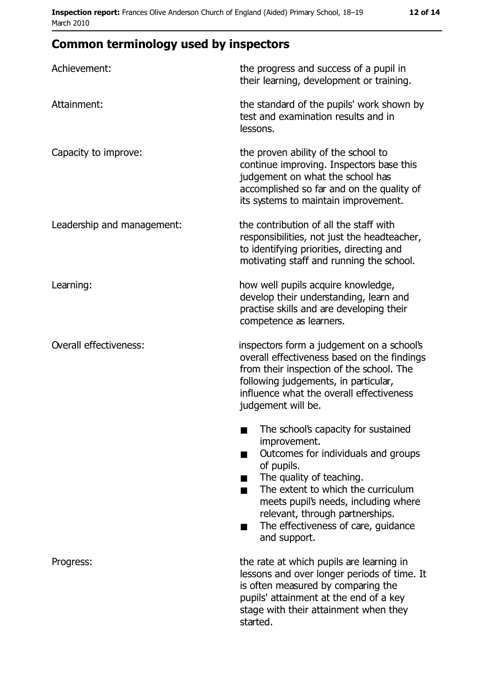| Achievement:                  | the progress and success of a pupil in<br>their learning, development or training.                                                                                                                                                                                                                                |
|-------------------------------|-------------------------------------------------------------------------------------------------------------------------------------------------------------------------------------------------------------------------------------------------------------------------------------------------------------------|
| Attainment:                   | the standard of the pupils' work shown by<br>test and examination results and in<br>lessons.                                                                                                                                                                                                                      |
| Capacity to improve:          | the proven ability of the school to<br>continue improving. Inspectors base this<br>judgement on what the school has<br>accomplished so far and on the quality of<br>its systems to maintain improvement.                                                                                                          |
| Leadership and management:    | the contribution of all the staff with<br>responsibilities, not just the headteacher,<br>to identifying priorities, directing and<br>motivating staff and running the school.                                                                                                                                     |
| Learning:                     | how well pupils acquire knowledge,<br>develop their understanding, learn and<br>practise skills and are developing their<br>competence as learners.                                                                                                                                                               |
| <b>Overall effectiveness:</b> | inspectors form a judgement on a school's<br>overall effectiveness based on the findings<br>from their inspection of the school. The<br>following judgements, in particular,<br>influence what the overall effectiveness<br>judgement will be.                                                                    |
|                               | The school's capacity for sustained<br>٠<br>improvement.<br>Outcomes for individuals and groups<br>of pupils.<br>The quality of teaching.<br>The extent to which the curriculum<br>meets pupil's needs, including where<br>relevant, through partnerships.<br>The effectiveness of care, guidance<br>and support. |
| Progress:                     | the rate at which pupils are learning in<br>lessons and over longer periods of time. It<br>is often measured by comparing the<br>pupils' attainment at the end of a key<br>stage with their attainment when they<br>started.                                                                                      |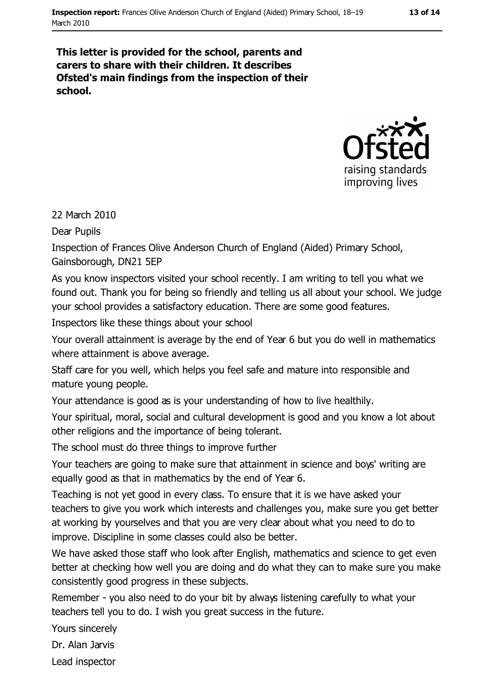#### This letter is provided for the school, parents and carers to share with their children. It describes Ofsted's main findings from the inspection of their school.



#### 22 March 2010

Dear Pupils

Inspection of Frances Olive Anderson Church of England (Aided) Primary School, Gainsborough, DN21 5EP

As you know inspectors visited your school recently. I am writing to tell you what we found out. Thank you for being so friendly and telling us all about your school. We judge your school provides a satisfactory education. There are some good features.

Inspectors like these things about your school

Your overall attainment is average by the end of Year 6 but you do well in mathematics where attainment is above average.

Staff care for you well, which helps you feel safe and mature into responsible and mature young people.

Your attendance is good as is your understanding of how to live healthily.

Your spiritual, moral, social and cultural development is good and you know a lot about other religions and the importance of being tolerant.

The school must do three things to improve further

Your teachers are going to make sure that attainment in science and boys' writing are equally good as that in mathematics by the end of Year 6.

Teaching is not yet good in every class. To ensure that it is we have asked your teachers to give you work which interests and challenges you, make sure you get better at working by vourselves and that you are very clear about what you need to do to improve. Discipline in some classes could also be better.

We have asked those staff who look after English, mathematics and science to get even better at checking how well you are doing and do what they can to make sure you make consistently good progress in these subjects.

Remember - you also need to do your bit by always listening carefully to what your teachers tell you to do. I wish you great success in the future.

Yours sincerely

Dr. Alan Jarvis

Lead inspector